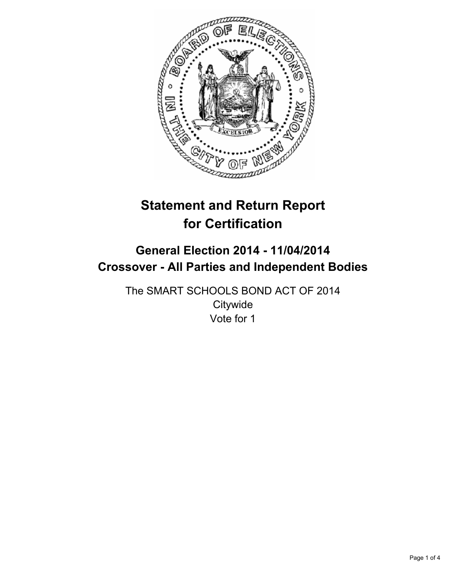

# **Statement and Return Report for Certification**

## **General Election 2014 - 11/04/2014 Crossover - All Parties and Independent Bodies**

The SMART SCHOOLS BOND ACT OF 2014 **Citywide** Vote for 1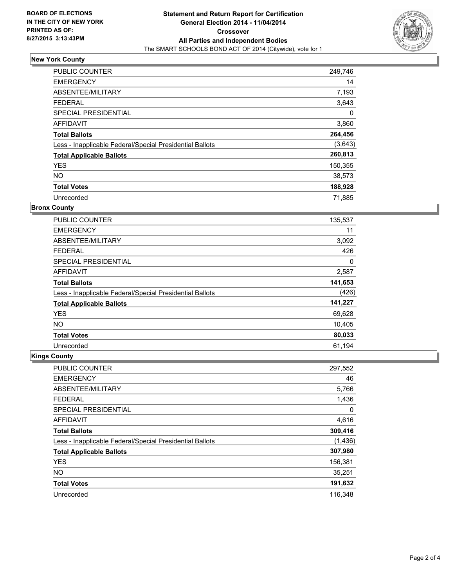

## **New York County**

| PUBLIC COUNTER                                           | 249,746  |
|----------------------------------------------------------|----------|
| <b>EMERGENCY</b>                                         | 14       |
| ABSENTEE/MILITARY                                        | 7,193    |
| <b>FEDERAL</b>                                           | 3,643    |
| SPECIAL PRESIDENTIAL                                     | $\Omega$ |
| <b>AFFIDAVIT</b>                                         | 3,860    |
| <b>Total Ballots</b>                                     | 264,456  |
| Less - Inapplicable Federal/Special Presidential Ballots | (3,643)  |
| <b>Total Applicable Ballots</b>                          | 260,813  |
| <b>YES</b>                                               | 150,355  |
| NO.                                                      | 38,573   |
| <b>Total Votes</b>                                       | 188,928  |
| Unrecorded                                               | 71,885   |

#### **Bronx County**

| PUBLIC COUNTER                                           | 135,537 |
|----------------------------------------------------------|---------|
| <b>EMERGENCY</b>                                         | 11      |
| ABSENTEE/MILITARY                                        | 3,092   |
| <b>FEDERAL</b>                                           | 426     |
| SPECIAL PRESIDENTIAL                                     | 0       |
| AFFIDAVIT                                                | 2,587   |
| <b>Total Ballots</b>                                     | 141,653 |
| Less - Inapplicable Federal/Special Presidential Ballots | (426)   |
| <b>Total Applicable Ballots</b>                          | 141,227 |
| <b>YES</b>                                               | 69,628  |
| <b>NO</b>                                                | 10,405  |
| <b>Total Votes</b>                                       | 80,033  |
| Unrecorded                                               | 61,194  |

## **Kings County**

| <b>PUBLIC COUNTER</b>                                    | 297,552 |
|----------------------------------------------------------|---------|
| <b>EMERGENCY</b>                                         | 46      |
| ABSENTEE/MILITARY                                        | 5,766   |
| <b>FEDERAL</b>                                           | 1,436   |
| SPECIAL PRESIDENTIAL                                     | 0       |
| AFFIDAVIT                                                | 4,616   |
| <b>Total Ballots</b>                                     | 309,416 |
| Less - Inapplicable Federal/Special Presidential Ballots | (1,436) |
| <b>Total Applicable Ballots</b>                          | 307,980 |
| <b>YES</b>                                               | 156,381 |
| <b>NO</b>                                                | 35,251  |
| <b>Total Votes</b>                                       | 191,632 |
| Unrecorded                                               | 116.348 |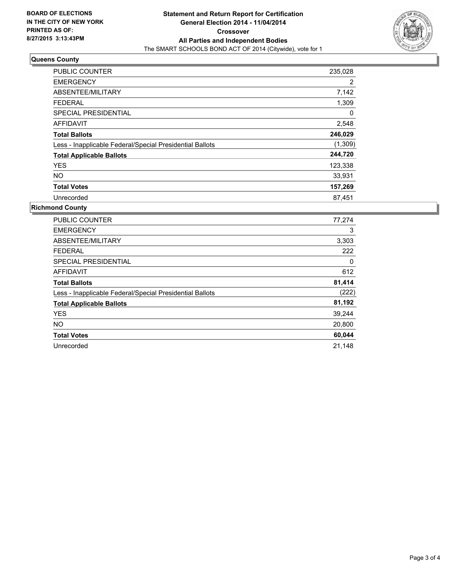

#### **Queens County**

| <b>PUBLIC COUNTER</b>                                    | 235,028  |
|----------------------------------------------------------|----------|
| <b>EMERGENCY</b>                                         | 2        |
| ABSENTEE/MILITARY                                        | 7,142    |
| <b>FEDERAL</b>                                           | 1,309    |
| SPECIAL PRESIDENTIAL                                     | $\Omega$ |
| <b>AFFIDAVIT</b>                                         | 2,548    |
| <b>Total Ballots</b>                                     | 246,029  |
| Less - Inapplicable Federal/Special Presidential Ballots | (1,309)  |
| <b>Total Applicable Ballots</b>                          | 244,720  |
| <b>YES</b>                                               | 123,338  |
| NO.                                                      | 33,931   |
| <b>Total Votes</b>                                       | 157,269  |
| Unrecorded                                               | 87,451   |

## **Richmond County**

| <b>PUBLIC COUNTER</b>                                    | 77,274 |
|----------------------------------------------------------|--------|
| <b>EMERGENCY</b>                                         | 3      |
| ABSENTEE/MILITARY                                        | 3,303  |
| <b>FEDERAL</b>                                           | 222    |
| SPECIAL PRESIDENTIAL                                     | 0      |
| <b>AFFIDAVIT</b>                                         | 612    |
| <b>Total Ballots</b>                                     | 81,414 |
| Less - Inapplicable Federal/Special Presidential Ballots | (222)  |
| <b>Total Applicable Ballots</b>                          | 81,192 |
| <b>YES</b>                                               | 39,244 |
| <b>NO</b>                                                | 20,800 |
| <b>Total Votes</b>                                       | 60,044 |
| Unrecorded                                               | 21,148 |